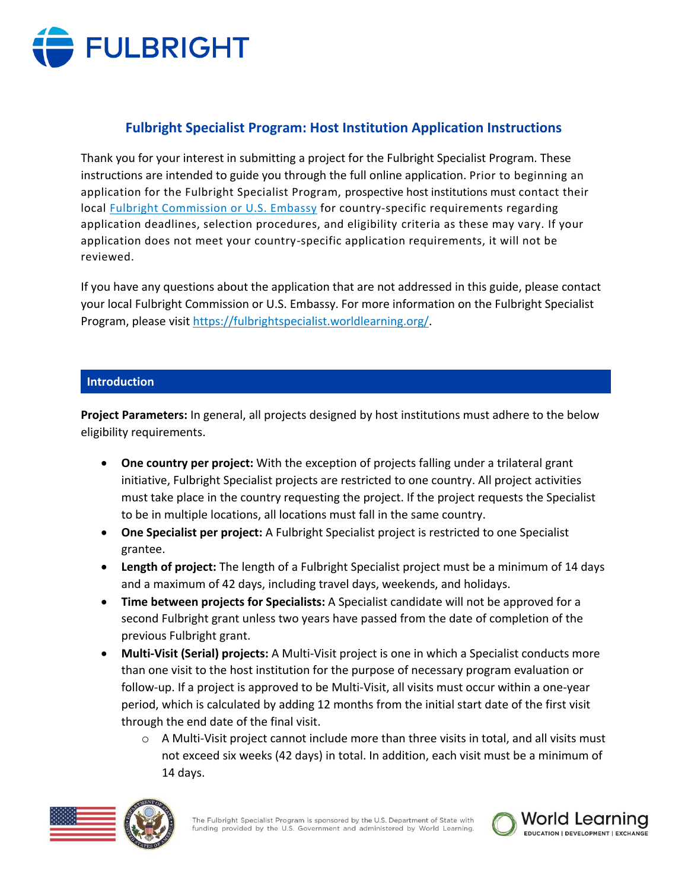

# **Fulbright Specialist Program: Host Institution Application Instructions**

Thank you for your interest in submitting a project for the Fulbright Specialist Program. These instructions are intended to guide you through the full online application. Prior to beginning an application for the Fulbright Specialist Program, prospective host institutions must contact their local **Fulbright Commission or U.S. Embassy for country-specific requirements regarding** application deadlines, selection procedures, and eligibility criteria as these may vary. If your application does not meet your country-specific application requirements, it will not be reviewed.

If you have any questions about the application that are not addressed in this guide, please contact your local Fulbright Commission or U.S. Embassy. For more information on the Fulbright Specialist Program, please visit [https://fulbrightspecialist.worldlearning.org/.](https://fulbrightspecialist.worldlearning.org/)

### **Introduction**

**Project Parameters:** In general, all projects designed by host institutions must adhere to the below eligibility requirements.

- **One country per project:** With the exception of projects falling under a trilateral grant initiative, Fulbright Specialist projects are restricted to one country. All project activities must take place in the country requesting the project. If the project requests the Specialist to be in multiple locations, all locations must fall in the same country.
- **One Specialist per project:** A Fulbright Specialist project is restricted to one Specialist grantee.
- **Length of project:** The length of a Fulbright Specialist project must be a minimum of 14 days and a maximum of 42 days, including travel days, weekends, and holidays.
- **Time between projects for Specialists:** A Specialist candidate will not be approved for a second Fulbright grant unless two years have passed from the date of completion of the previous Fulbright grant.
- **Multi-Visit (Serial) projects:** A Multi-Visit project is one in which a Specialist conducts more than one visit to the host institution for the purpose of necessary program evaluation or follow-up. If a project is approved to be Multi-Visit, all visits must occur within a one-year period, which is calculated by adding 12 months from the initial start date of the first visit through the end date of the final visit.
	- $\circ$  A Multi-Visit project cannot include more than three visits in total, and all visits must not exceed six weeks (42 days) in total. In addition, each visit must be a minimum of 14 days.



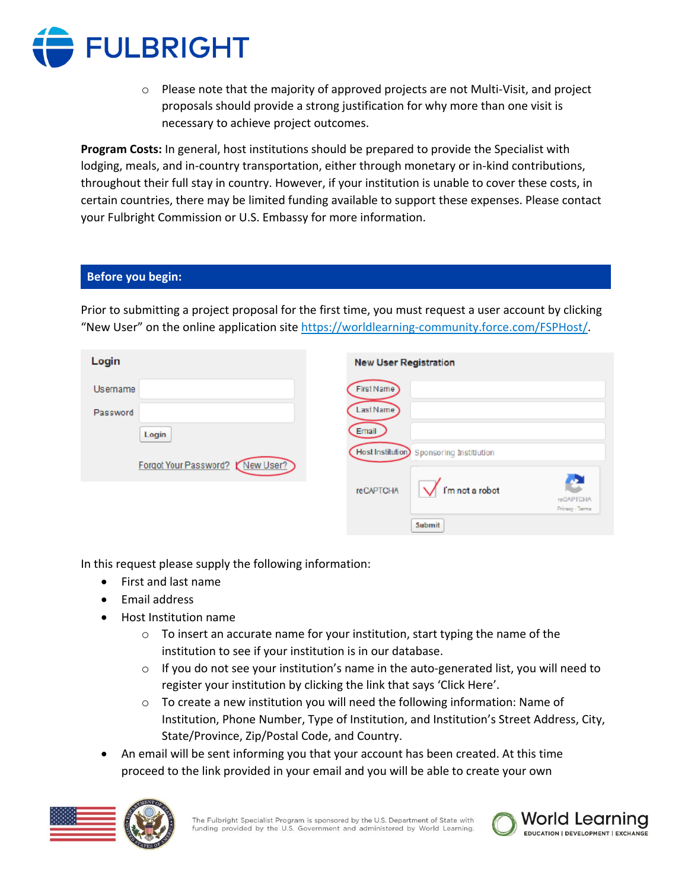

 $\circ$  Please note that the majority of approved projects are not Multi-Visit, and project proposals should provide a strong justification for why more than one visit is necessary to achieve project outcomes.

**Program Costs:** In general, host institutions should be prepared to provide the Specialist with lodging, meals, and in-country transportation, either through monetary or in-kind contributions, throughout their full stay in country. However, if your institution is unable to cover these costs, in certain countries, there may be limited funding available to support these expenses. Please contact your Fulbright Commission or U.S. Embassy for more information.

# **Before you begin:**

Prior to submitting a project proposal for the first time, you must request a user account by clicking "New User" on the online application site [https://worldlearning-community.force.com/FSPHost/.](https://worldlearning-community.force.com/FSPHost/)

| Login                           | <b>New User Registration</b>            |
|---------------------------------|-----------------------------------------|
| Username                        | First Name                              |
| Password                        | Last Name                               |
| Login                           | Email                                   |
| Forgot Your Password? New User? | Host Institution Sponsoring Institution |
|                                 | I'm not a robot<br><b>reCAPTCHA</b>     |
|                                 | reCAPTCHA<br>Privacy - Terma            |
|                                 | Submit                                  |

In this request please supply the following information:

- First and last name
- Email address
- Host Institution name
	- $\circ$  To insert an accurate name for your institution, start typing the name of the institution to see if your institution is in our database.
	- $\circ$  If you do not see your institution's name in the auto-generated list, you will need to register your institution by clicking the link that says 'Click Here'.
	- o To create a new institution you will need the following information: Name of Institution, Phone Number, Type of Institution, and Institution's Street Address, City, State/Province, Zip/Postal Code, and Country.
- An email will be sent informing you that your account has been created. At this time proceed to the link provided in your email and you will be able to create your own



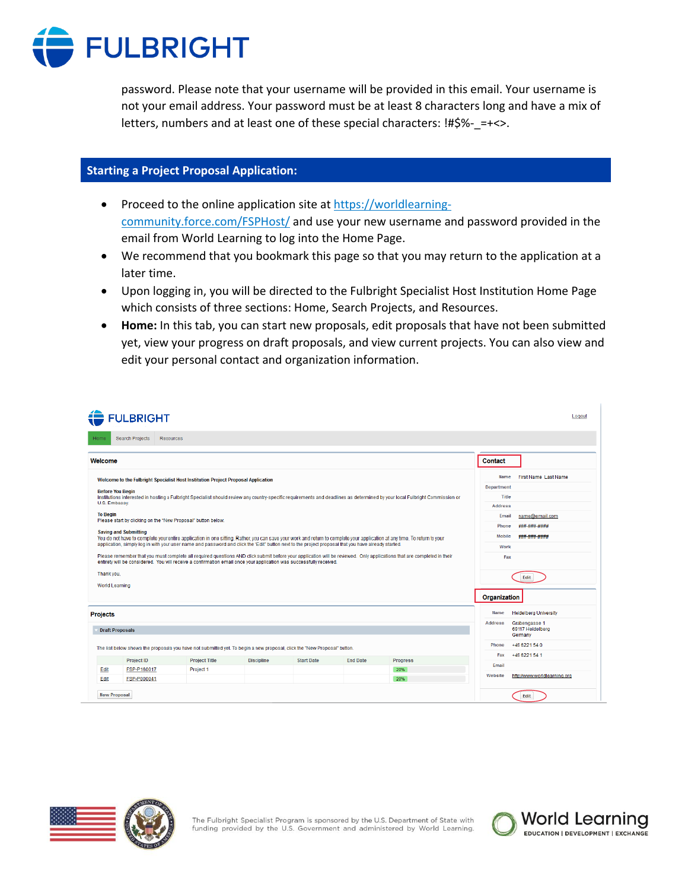

password. Please note that your username will be provided in this email. Your username is not your email address. Your password must be at least 8 characters long and have a mix of letters, numbers and at least one of these special characters: !#\$%-\_=+<>.

## **Starting a Project Proposal Application:**

- Proceed to the online application site at [https://worldlearning](https://worldlearning-community.force.com/FSPHost/)[community.force.com/FSPHost/](https://worldlearning-community.force.com/FSPHost/) and use your new username and password provided in the email from World Learning to log into the Home Page.
- We recommend that you bookmark this page so that you may return to the application at a later time.
- Upon logging in, you will be directed to the Fulbright Specialist Host Institution Home Page which consists of three sections: Home, Search Projects, and Resources.
- **Home:** In this tab, you can start new proposals, edit proposals that have not been submitted yet, view your progress on draft proposals, and view current projects. You can also view and edit your personal contact and organization information.

| <b>FULBRIGHT</b>                                                                                                                                                                                                                                                                                                              |                                                                                                 | Logout |
|-------------------------------------------------------------------------------------------------------------------------------------------------------------------------------------------------------------------------------------------------------------------------------------------------------------------------------|-------------------------------------------------------------------------------------------------|--------|
| Search Projects<br><b>Resources</b><br>Homa                                                                                                                                                                                                                                                                                   |                                                                                                 |        |
| Welcome                                                                                                                                                                                                                                                                                                                       | Contact                                                                                         |        |
| Welcome to the Fulbright Specialist Host Institution Project Proposal Application                                                                                                                                                                                                                                             | First Name Last Name<br>Name<br><b>Department</b>                                               |        |
| <b>Before You Begin</b><br>Institutions interested in hosting a Fulbright Specialist should review any country-specific requirements and deadlines as determined by your local Fulbright Commission or<br>U.S. Embassy.                                                                                                       | Title<br><b>Address</b>                                                                         |        |
| <b>To Beain</b><br>Please start by clicking on the "New Proposal" button below.                                                                                                                                                                                                                                               | name@email.com<br>Email                                                                         |        |
| <b>Saving and Submitting</b><br>You do not have to complete your entire application in one sitting, Rather, you can save your work and return to complete your application at any time. To return to your                                                                                                                     | ###_###_####<br>Phone<br>Mobile<br>### ### ####                                                 |        |
| application, simply log in with your user name and password and click the "Edit" button next to the project proposal that you have already started.<br>Please remember that you must complete all required questions AND click submit before your application will be reviewed. Only applications that are completed in their | <b>Work</b><br>Fax                                                                              |        |
| entirety will be considered. You will receive a confirmation email once your application was successfully received.<br>Thank you.                                                                                                                                                                                             | Edit                                                                                            |        |
| World Learning                                                                                                                                                                                                                                                                                                                |                                                                                                 |        |
|                                                                                                                                                                                                                                                                                                                               | Organization                                                                                    |        |
| <b>Projects</b><br><b>Draft Proposals</b>                                                                                                                                                                                                                                                                                     | Name<br><b>Heidelberg University</b><br>Address<br>Grabengasse 1<br>69117 Heidelberg<br>Germany |        |
| The list below shows the proposals you have not submitted yet. To begin a new proposal, click the "New Proposal" button.                                                                                                                                                                                                      | +49 6221 54 0<br>Phone                                                                          |        |
| <b>Project ID</b><br><b>Project Title</b><br><b>Discipline</b><br><b>Start Date</b><br><b>End Date</b><br>Progress                                                                                                                                                                                                            | +49 6221 54 1<br>Fax                                                                            |        |
| Edit<br>FSP-P160017<br>Project 1<br>20%                                                                                                                                                                                                                                                                                       | Email                                                                                           |        |
| 20%<br>Edit<br>FSP-P000041                                                                                                                                                                                                                                                                                                    | http://www.worldlearning.org<br>Website                                                         |        |
| <b>New Proposal</b>                                                                                                                                                                                                                                                                                                           | Edit                                                                                            |        |



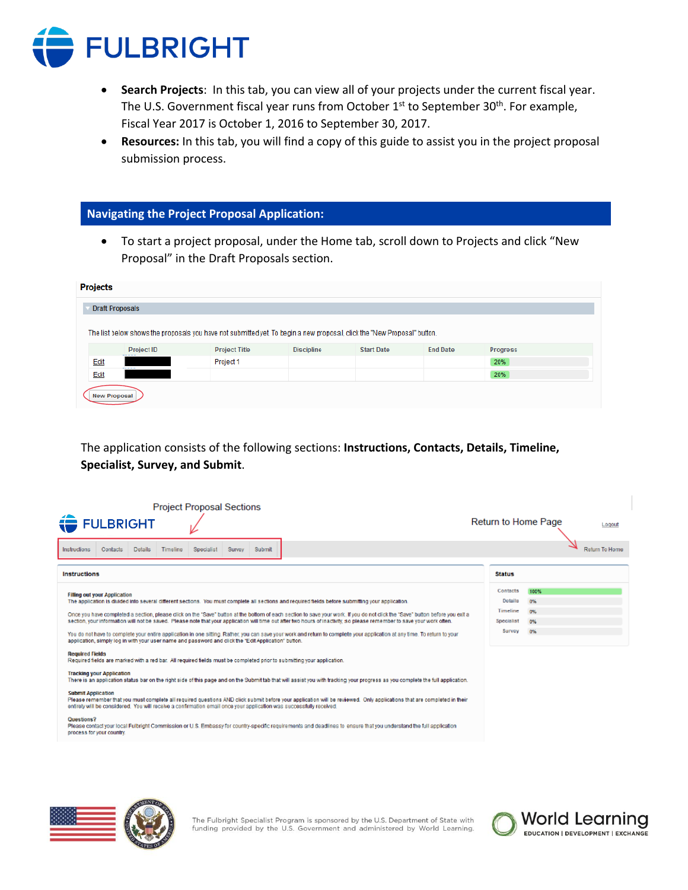

- **Search Projects**: In this tab, you can view all of your projects under the current fiscal year. The U.S. Government fiscal year runs from October 1<sup>st</sup> to September 30<sup>th</sup>. For example, Fiscal Year 2017 is October 1, 2016 to September 30, 2017.
- **Resources:** In this tab, you will find a copy of this guide to assist you in the project proposal submission process.

#### **Navigating the Project Proposal Application:**

• To start a project proposal, under the Home tab, scroll down to Projects and click "New Proposal" in the Draft Proposals section.

| <b>Projects</b>                                                                                                         |      |                             |                      |                   |                   |                 |          |
|-------------------------------------------------------------------------------------------------------------------------|------|-----------------------------|----------------------|-------------------|-------------------|-----------------|----------|
| <b>Draft Proposals</b>                                                                                                  |      |                             |                      |                   |                   |                 |          |
| The list below shows the proposals you have not submitted yet To begin a new proposal, click the "New Proposal" button. |      |                             |                      |                   |                   |                 |          |
|                                                                                                                         |      | <b>Project ID</b><br>------ | <b>Project Title</b> | <b>Discipline</b> | <b>Start Date</b> | <b>End Date</b> | Progress |
|                                                                                                                         | Edit | -----                       | Project 1            |                   |                   |                 | 20%      |
|                                                                                                                         | Edit |                             |                      |                   |                   |                 | 20%      |
| <b>New Proposal</b>                                                                                                     |      |                             |                      |                   |                   |                 |          |

The application consists of the following sections: **Instructions, Contacts, Details, Timeline, Specialist, Survey, and Submit**.

| <b>Project Proposal Sections</b>                                                                                                                                                                                                                                                                                                                                                                                                                                                                                                                      |                                                      |                        |                |
|-------------------------------------------------------------------------------------------------------------------------------------------------------------------------------------------------------------------------------------------------------------------------------------------------------------------------------------------------------------------------------------------------------------------------------------------------------------------------------------------------------------------------------------------------------|------------------------------------------------------|------------------------|----------------|
| <b>FULBRIGHT</b>                                                                                                                                                                                                                                                                                                                                                                                                                                                                                                                                      | <b>Return to Home Page</b>                           |                        | Logout         |
| Instructions<br><b>Details</b><br>Contacts<br>Timeline<br>Specialist<br>Survey<br>Submit                                                                                                                                                                                                                                                                                                                                                                                                                                                              |                                                      |                        | Return To Home |
| <b>Instructions</b>                                                                                                                                                                                                                                                                                                                                                                                                                                                                                                                                   | <b>Status</b>                                        |                        |                |
| <b>Filling out your Application</b><br>The application is divided into several different sections. You must complete all sections and required fields before submitting your application.<br>Once you have completed a section, please click on the "Save" button at the bottom of each section to save your work. If you do not click the "Save" button before you exit a<br>section, your information will not be saved. Please note that your application will time out after two hours of inactivity, so please remember to save your work often. | Contacts<br><b>Details</b><br>Timeline<br>Specialist | 100%<br>0%<br>0%<br>0% |                |
| You do not have to complete your entire application in one sitting. Rather, you can save your work and return to complete your application at any time. To return to your<br>application, simply log in with your user name and password and click the "Edit Application" button.                                                                                                                                                                                                                                                                     | Survey                                               | 0%                     |                |
| <b>Required Fields</b><br>Required fields are marked with a red bar. All required fields must be completed prior to submitting your application.                                                                                                                                                                                                                                                                                                                                                                                                      |                                                      |                        |                |
| <b>Tracking your Application</b><br>There is an application status bar on the right side of this page and on the Submit tab that will assist you with tracking your progress as you complete the full application.                                                                                                                                                                                                                                                                                                                                    |                                                      |                        |                |
| <b>Submit Application</b><br>Please remember that you must complete all required questions AND click submit before your application will be reviewed. Only applications that are completed in their<br>entirety will be considered. You will receive a confirmation email once your application was successfully received.                                                                                                                                                                                                                            |                                                      |                        |                |
| Questions?<br>Please contact your local Fulbright Commission or U.S. Embassy for country-specific requirements and deadlines to ensure that you understand the full application<br>process for your country.                                                                                                                                                                                                                                                                                                                                          |                                                      |                        |                |



The Fulbright Specialist Program is sponsored by the U.S. Department of State with funding provided by the U.S. Government and administered by World Learning.

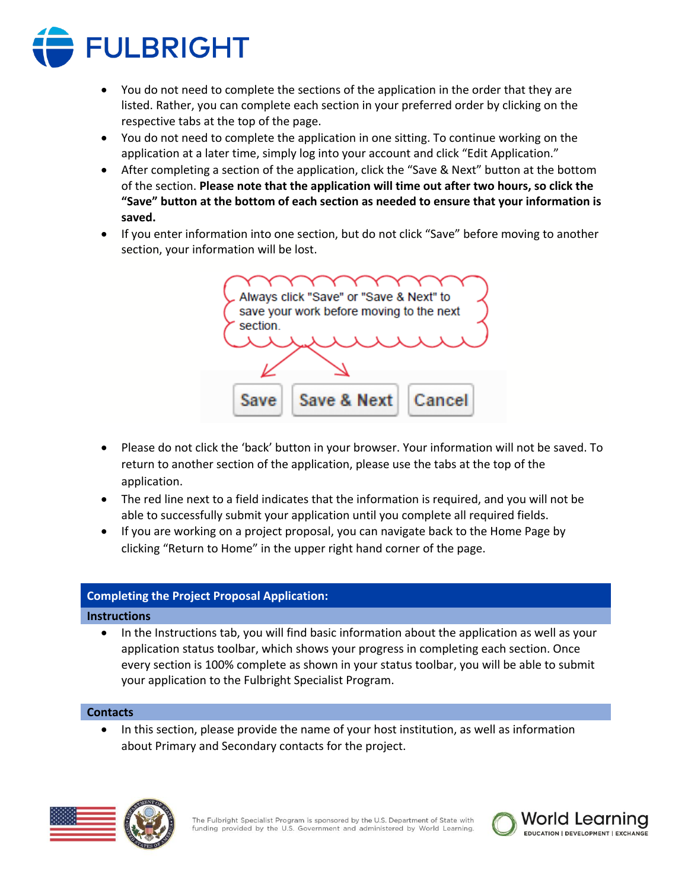

- You do not need to complete the sections of the application in the order that they are listed. Rather, you can complete each section in your preferred order by clicking on the respective tabs at the top of the page.
- You do not need to complete the application in one sitting. To continue working on the application at a later time, simply log into your account and click "Edit Application."
- After completing a section of the application, click the "Save & Next" button at the bottom of the section. **Please note that the application will time out after two hours, so click the "Save" button at the bottom of each section as needed to ensure that your information is saved.**
- If you enter information into one section, but do not click "Save" before moving to another section, your information will be lost.

Always click "Save" or "Save & Next" to save your work before moving to the next section. Save & Next Save Cancel

- Please do not click the 'back' button in your browser. Your information will not be saved. To return to another section of the application, please use the tabs at the top of the application.
- The red line next to a field indicates that the information is required, and you will not be able to successfully submit your application until you complete all required fields.
- If you are working on a project proposal, you can navigate back to the Home Page by clicking "Return to Home" in the upper right hand corner of the page.

# **Completing the Project Proposal Application:**

# **Instructions**

• In the Instructions tab, you will find basic information about the application as well as your application status toolbar, which shows your progress in completing each section. Once every section is 100% complete as shown in your status toolbar, you will be able to submit your application to the Fulbright Specialist Program.

# **Contacts**

• In this section, please provide the name of your host institution, as well as information about Primary and Secondary contacts for the project.





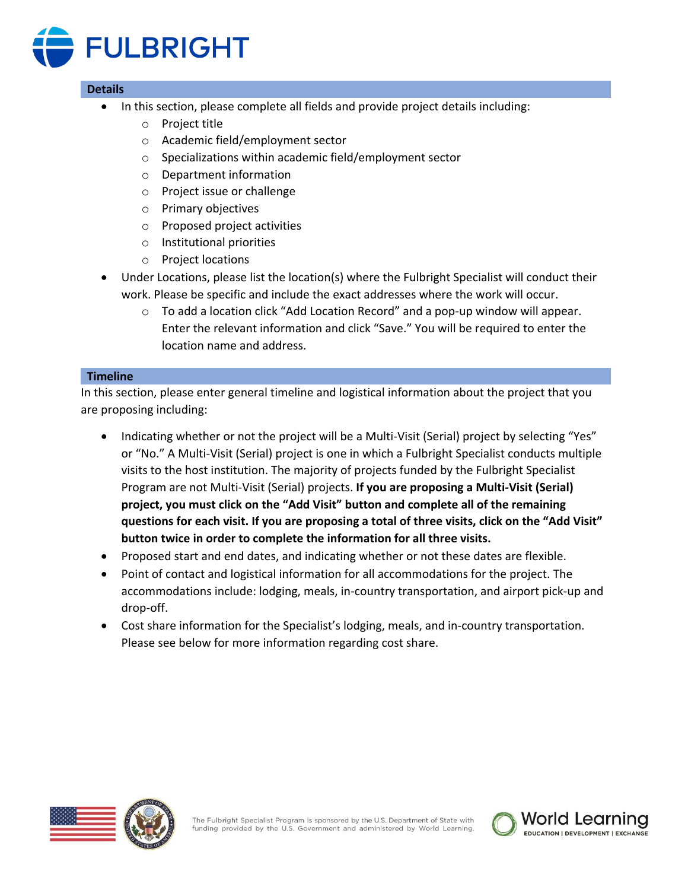

### **Details**

- In this section, please complete all fields and provide project details including:
	- o Project title
	- o Academic field/employment sector
	- o Specializations within academic field/employment sector
	- o Department information
	- o Project issue or challenge
	- o Primary objectives
	- o Proposed project activities
	- o Institutional priorities
	- o Project locations
- Under Locations, please list the location(s) where the Fulbright Specialist will conduct their work. Please be specific and include the exact addresses where the work will occur.
	- $\circ$  To add a location click "Add Location Record" and a pop-up window will appear. Enter the relevant information and click "Save." You will be required to enter the location name and address.

#### **Timeline**

In this section, please enter general timeline and logistical information about the project that you are proposing including:

- Indicating whether or not the project will be a Multi-Visit (Serial) project by selecting "Yes" or "No." A Multi-Visit (Serial) project is one in which a Fulbright Specialist conducts multiple visits to the host institution. The majority of projects funded by the Fulbright Specialist Program are not Multi-Visit (Serial) projects. **If you are proposing a Multi-Visit (Serial) project, you must click on the "Add Visit" button and complete all of the remaining questions for each visit. If you are proposing a total of three visits, click on the "Add Visit" button twice in order to complete the information for all three visits.**
- Proposed start and end dates, and indicating whether or not these dates are flexible.
- Point of contact and logistical information for all accommodations for the project. The accommodations include: lodging, meals, in-country transportation, and airport pick-up and drop-off.
- Cost share information for the Specialist's lodging, meals, and in-country transportation. Please see below for more information regarding cost share.



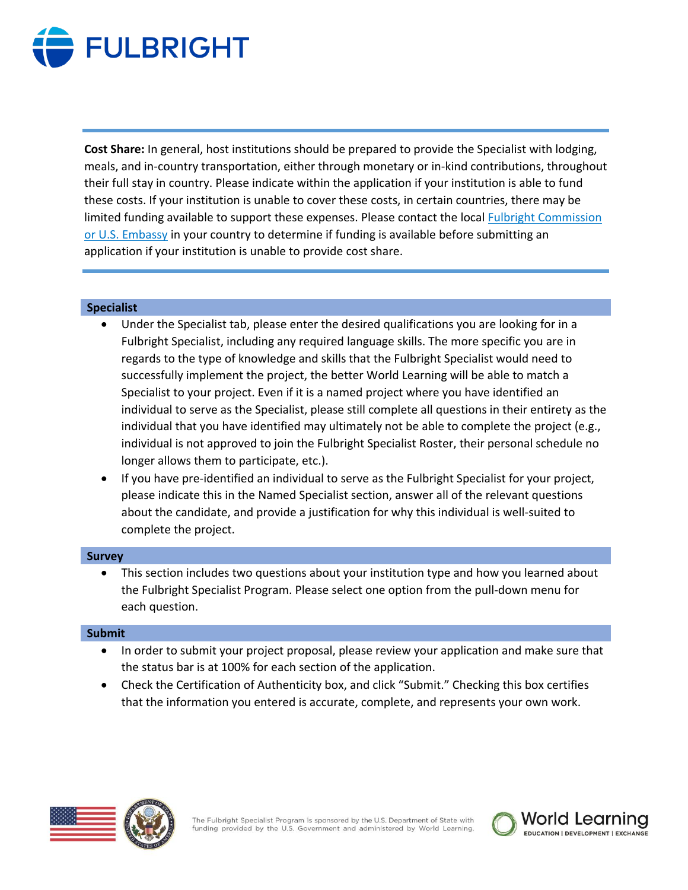

**Cost Share:** In general, host institutions should be prepared to provide the Specialist with lodging, meals, and in-country transportation, either through monetary or in-kind contributions, throughout their full stay in country. Please indicate within the application if your institution is able to fund these costs. If your institution is unable to cover these costs, in certain countries, there may be limited funding available to support these expenses. Please contact the local [Fulbright Commission](https://fulbrightspecialist.worldlearning.org/participating-countries/)  [or U.S. Embassy](https://fulbrightspecialist.worldlearning.org/participating-countries/) in your country to determine if funding is available before submitting an application if your institution is unable to provide cost share.

### **Specialist**

- Under the Specialist tab, please enter the desired qualifications you are looking for in a Fulbright Specialist, including any required language skills. The more specific you are in regards to the type of knowledge and skills that the Fulbright Specialist would need to successfully implement the project, the better World Learning will be able to match a Specialist to your project. Even if it is a named project where you have identified an individual to serve as the Specialist, please still complete all questions in their entirety as the individual that you have identified may ultimately not be able to complete the project (e.g., individual is not approved to join the Fulbright Specialist Roster, their personal schedule no longer allows them to participate, etc.).
- If you have pre-identified an individual to serve as the Fulbright Specialist for your project, please indicate this in the Named Specialist section, answer all of the relevant questions about the candidate, and provide a justification for why this individual is well-suited to complete the project.

#### **Survey**

• This section includes two questions about your institution type and how you learned about the Fulbright Specialist Program. Please select one option from the pull-down menu for each question.

#### **Submit**

- In order to submit your project proposal, please review your application and make sure that the status bar is at 100% for each section of the application.
- Check the Certification of Authenticity box, and click "Submit." Checking this box certifies that the information you entered is accurate, complete, and represents your own work.